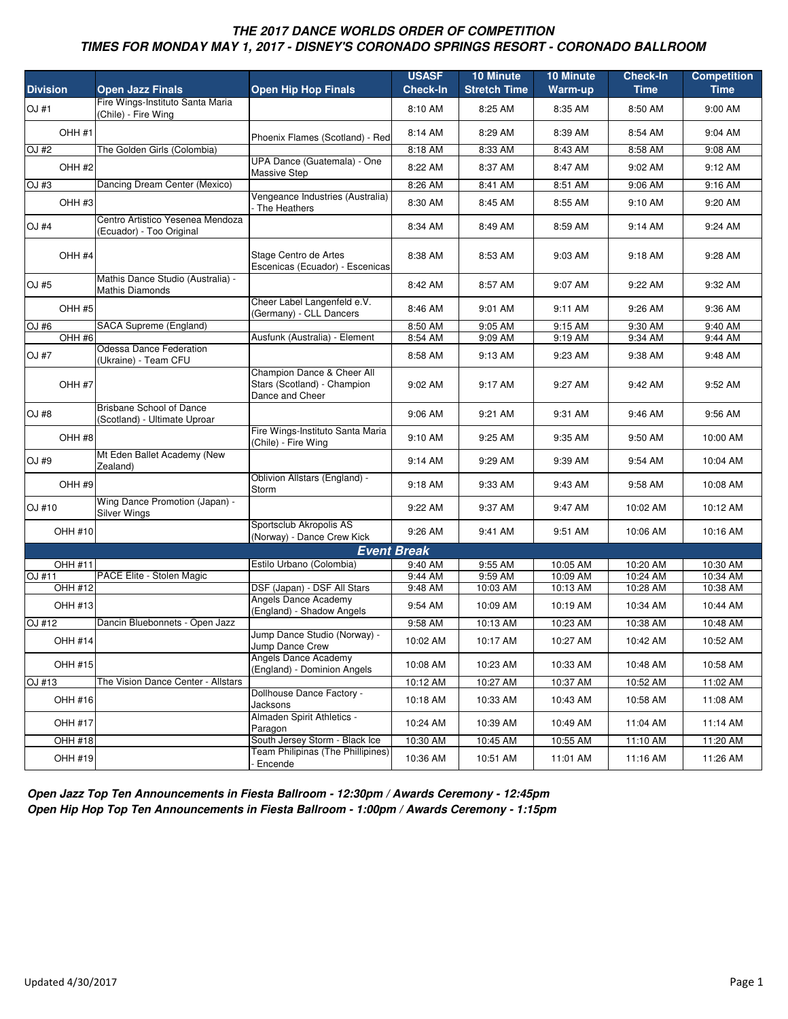|                   |                                                                 |                                                                              | <b>USASF</b>       | <b>10 Minute</b>    | <b>10 Minute</b> | <b>Check-In</b> | <b>Competition</b> |
|-------------------|-----------------------------------------------------------------|------------------------------------------------------------------------------|--------------------|---------------------|------------------|-----------------|--------------------|
| <b>Division</b>   | <b>Open Jazz Finals</b>                                         | <b>Open Hip Hop Finals</b>                                                   | <b>Check-In</b>    | <b>Stretch Time</b> | Warm-up          | Time            | <b>Time</b>        |
| OJ #1             | Fire Wings-Instituto Santa Maria<br>(Chile) - Fire Wing         |                                                                              | 8:10 AM            | 8:25 AM             | 8:35 AM          | 8:50 AM         | 9:00 AM            |
| OHH #1            |                                                                 | Phoenix Flames (Scotland) - Red                                              | 8:14 AM            | 8:29 AM             | 8:39 AM          | 8:54 AM         | 9:04 AM            |
| <b>OJ#2</b>       | The Golden Girls (Colombia)                                     |                                                                              | 8:18 AM            | 8:33 AM             | 8:43 AM          | 8:58 AM         | 9:08 AM            |
| OHH #2            |                                                                 | UPA Dance (Guatemala) - One<br><b>Massive Step</b>                           | 8:22 AM            | 8:37 AM             | 8:47 AM          | 9:02 AM         | 9:12 AM            |
| OJ #3             | Dancing Dream Center (Mexico)                                   |                                                                              | 8:26 AM            | 8:41 AM             | 8:51 AM          | 9:06 AM         | 9:16 AM            |
| OHH <sub>#3</sub> |                                                                 | Vengeance Industries (Australia)<br>- The Heathers                           | 8:30 AM            | 8:45 AM             | 8:55 AM          | 9:10 AM         | 9:20 AM            |
| OJ #4             | Centro Artistico Yesenea Mendoza<br>(Ecuador) - Too Original    |                                                                              | 8:34 AM            | 8:49 AM             | 8:59 AM          | 9:14 AM         | 9:24 AM            |
| OHH <sub>#4</sub> |                                                                 | Stage Centro de Artes<br>Escenicas (Ecuador) - Escenicas                     | 8:38 AM            | 8:53 AM             | 9:03 AM          | 9:18 AM         | 9:28 AM            |
| OJ #5             | Mathis Dance Studio (Australia) -<br>Mathis Diamonds            |                                                                              | 8:42 AM            | 8:57 AM             | 9:07 AM          | 9:22 AM         | 9:32 AM            |
| <b>OHH #5</b>     |                                                                 | Cheer Label Langenfeld e.V.<br>(Germany) - CLL Dancers                       | 8:46 AM            | 9:01 AM             | 9:11 AM          | 9:26 AM         | 9:36 AM            |
| OJ #6             | SACA Supreme (England)                                          |                                                                              | 8:50 AM            | 9:05 AM             | 9:15 AM          | 9:30 AM         | 9:40 AM            |
| OHH #6            | Odessa Dance Federation                                         | Ausfunk (Australia) - Element                                                | 8:54 AM            | 9:09 AM             | 9:19 AM          | 9:34 AM         | 9:44 AM            |
| OJ #7             | (Ukraine) - Team CFU                                            |                                                                              | 8:58 AM            | 9:13 AM             | 9:23 AM          | 9:38 AM         | 9:48 AM            |
| OHH #7            |                                                                 | Champion Dance & Cheer All<br>Stars (Scotland) - Champion<br>Dance and Cheer | 9:02 AM            | 9:17 AM             | 9:27 AM          | 9:42 AM         | 9:52 AM            |
| OJ #8             | <b>Brisbane School of Dance</b><br>(Scotland) - Ultimate Uproar |                                                                              | 9:06 AM            | 9:21 AM             | 9:31 AM          | 9:46 AM         | 9:56 AM            |
| OHH #8            |                                                                 | Fire Wings-Instituto Santa Maria<br>(Chile) - Fire Wing                      | 9:10 AM            | $9:25$ AM           | 9:35 AM          | 9:50 AM         | 10:00 AM           |
| OJ #9             | Mt Eden Ballet Academy (New<br>Zealand)                         |                                                                              | $9:14$ AM          | 9:29 AM             | 9:39 AM          | 9:54 AM         | 10:04 AM           |
| OHH #9            |                                                                 | Oblivion Allstars (England) -<br>Storm                                       | $9:18$ AM          | 9:33 AM             | 9:43 AM          | 9:58 AM         | 10:08 AM           |
| OJ #10            | Wing Dance Promotion (Japan) -<br>Silver Wings                  |                                                                              | 9:22 AM            | 9:37 AM             | 9:47 AM          | 10:02 AM        | 10:12 AM           |
| <b>OHH #10</b>    |                                                                 | Sportsclub Akropolis AS<br>(Norway) - Dance Crew Kick                        | 9:26 AM            | 9:41 AM             | 9:51 AM          | 10:06 AM        | 10:16 AM           |
|                   |                                                                 |                                                                              | <b>Event Break</b> |                     |                  |                 |                    |
| <b>OHH #11</b>    |                                                                 | Estilo Urbano (Colombia)                                                     | 9:40 AM            | 9:55 AM             | 10:05 AM         | 10:20 AM        | 10:30 AM           |
| OJ #11            | PACE Elite - Stolen Magic                                       |                                                                              | 9:44 AM            | 9:59 AM             | 10:09 AM         | 10:24 AM        | 10:34 AM           |
| OHH #12           |                                                                 | DSF (Japan) - DSF All Stars                                                  | 9:48 AM            | 10:03 AM            | 10:13 AM         | 10:28 AM        | 10:38 AM           |
| OHH #13           |                                                                 | Angels Dance Academy<br>(England) - Shadow Angels                            | 9:54 AM            | 10:09 AM            | 10:19 AM         | 10:34 AM        | 10:44 AM           |
| OJ #12            | Dancin Bluebonnets - Open Jazz                                  |                                                                              | 9:58 AM            | 10:13 AM            | 10:23 AM         | 10:38 AM        | 10:48 AM           |
| <b>OHH #14</b>    |                                                                 | Jump Dance Studio (Norway) -<br>Jump Dance Crew                              | 10:02 AM           | 10:17 AM            | 10:27 AM         | 10:42 AM        | 10:52 AM           |
| OHH #15           |                                                                 | Angels Dance Academy<br>(England) - Dominion Angels                          | 10:08 AM           | 10:23 AM            | 10:33 AM         | 10:48 AM        | 10:58 AM           |
| OJ #13            | The Vision Dance Center - Allstars                              |                                                                              | 10:12 AM           | 10:27 AM            | 10:37 AM         | 10:52 AM        | 11:02 AM           |
| OHH #16           |                                                                 | Dollhouse Dance Factory -<br>Jacksons                                        | 10:18 AM           | 10:33 AM            | 10:43 AM         | 10:58 AM        | 11:08 AM           |
| <b>OHH #17</b>    |                                                                 | Almaden Spirit Athletics -<br>Paragon                                        | 10:24 AM           | 10:39 AM            | 10:49 AM         | 11:04 AM        | 11:14 AM           |
| <b>OHH #18</b>    |                                                                 | South Jersey Storm - Black Ice                                               | 10:30 AM           | 10:45 AM            | 10:55 AM         | 11:10 AM        | 11:20 AM           |
| <b>OHH #19</b>    |                                                                 | Team Philipinas (The Phillipines)<br>Encende                                 | 10:36 AM           | 10:51 AM            | 11:01 AM         | 11:16 AM        | 11:26 AM           |

**Open Jazz Top Ten Announcements in Fiesta Ballroom - 12:30pm / Awards Ceremony - 12:45pm Open Hip Hop Top Ten Announcements in Fiesta Ballroom - 1:00pm / Awards Ceremony - 1:15pm**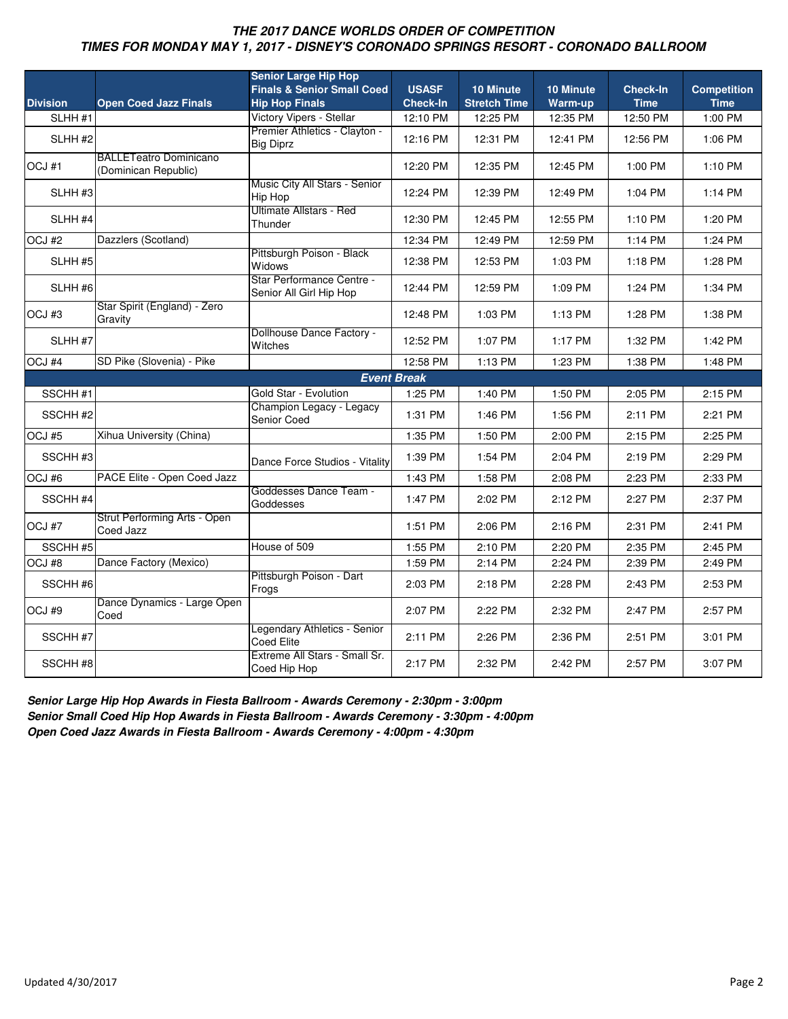| <b>Division</b>     | <b>Open Coed Jazz Finals</b>                          | <b>Senior Large Hip Hop</b><br><b>Finals &amp; Senior Small Coed</b><br><b>Hip Hop Finals</b> | <b>USASF</b><br><b>Check-In</b> | 10 Minute<br><b>Stretch Time</b> | <b>10 Minute</b><br>Warm-up | <b>Check-In</b><br><b>Time</b> | <b>Competition</b><br><b>Time</b> |
|---------------------|-------------------------------------------------------|-----------------------------------------------------------------------------------------------|---------------------------------|----------------------------------|-----------------------------|--------------------------------|-----------------------------------|
| SLHH #1             |                                                       | Victory Vipers - Stellar                                                                      | 12:10 PM                        | 12:25 PM                         | 12:35 PM                    | 12:50 PM                       | 1:00 PM                           |
| SLHH <sub>#2</sub>  |                                                       | Premier Athletics - Clayton -<br><b>Big Diprz</b>                                             | 12:16 PM                        | 12:31 PM                         | 12:41 PM                    | 12:56 PM                       | 1:06 PM                           |
| OCJ#1               | <b>BALLETeatro Dominicano</b><br>(Dominican Republic) |                                                                                               | 12:20 PM                        | 12:35 PM                         | 12:45 PM                    | 1:00 PM                        | 1:10 PM                           |
| SLHH <sub>#3</sub>  |                                                       | Music City All Stars - Senior<br>Hip Hop                                                      | 12:24 PM                        | 12:39 PM                         | 12:49 PM                    | 1:04 PM                        | 1:14 PM                           |
| SLHH #4             |                                                       | <b>Ultimate Allstars - Red</b><br>Thunder                                                     | 12:30 PM                        | 12:45 PM                         | 12:55 PM                    | 1:10 PM                        | 1:20 PM                           |
| OCJ #2              | Dazzlers (Scotland)                                   |                                                                                               | 12:34 PM                        | 12:49 PM                         | 12:59 PM                    | 1:14 PM                        | 1:24 PM                           |
| SLHH #5             |                                                       | Pittsburgh Poison - Black<br>Widows                                                           | 12:38 PM                        | 12:53 PM                         | 1:03 PM                     | 1:18 PM                        | 1:28 PM                           |
| SLHH #6             |                                                       | Star Performance Centre -<br>Senior All Girl Hip Hop                                          | 12:44 PM                        | 12:59 PM                         | 1:09 PM                     | 1:24 PM                        | 1:34 PM                           |
| OCJ#3               | Star Spirit (England) - Zero<br>Gravity               |                                                                                               | 12:48 PM                        | 1:03 PM                          | 1:13 PM                     | 1:28 PM                        | 1:38 PM                           |
| SLHH #7             |                                                       | Dollhouse Dance Factory -<br>Witches                                                          | 12:52 PM                        | 1:07 PM                          | 1:17 PM                     | 1:32 PM                        | 1:42 PM                           |
| OCJ #4              | SD Pike (Slovenia) - Pike                             |                                                                                               | 12:58 PM                        | 1:13 PM                          | 1:23 PM                     | 1:38 PM                        | 1:48 PM                           |
|                     |                                                       | <b>Event Break</b>                                                                            |                                 |                                  |                             |                                |                                   |
| SSCHH #1            |                                                       | Gold Star - Evolution                                                                         | 1:25 PM                         | 1:40 PM                          | 1:50 PM                     | 2:05 PM                        | 2:15 PM                           |
| SSCHH #2            |                                                       | Champion Legacy - Legacy<br>Senior Coed                                                       | 1:31 PM                         | 1:46 PM                          | 1:56 PM                     | 2:11 PM                        | 2:21 PM                           |
| OCJ #5              | Xihua University (China)                              |                                                                                               | 1:35 PM                         | 1:50 PM                          | 2:00 PM                     | 2:15 PM                        | 2:25 PM                           |
| SSCHH <sub>#3</sub> |                                                       | Dance Force Studios - Vitality                                                                | 1:39 PM                         | 1:54 PM                          | 2:04 PM                     | 2:19 PM                        | 2:29 PM                           |
| OCJ#6               | PACE Elite - Open Coed Jazz                           |                                                                                               | 1:43 PM                         | 1:58 PM                          | 2:08 PM                     | 2:23 PM                        | 2:33 PM                           |
| SSCHH #4            |                                                       | Goddesses Dance Team -<br>Goddesses                                                           | 1:47 PM                         | 2:02 PM                          | 2:12 PM                     | 2:27 PM                        | 2:37 PM                           |
| OCJ #7              | Strut Performing Arts - Open<br>Coed Jazz             |                                                                                               | 1:51 PM                         | 2:06 PM                          | 2:16 PM                     | 2:31 PM                        | 2:41 PM                           |
| SSCHH #5            |                                                       | House of 509                                                                                  | 1:55 PM                         | 2:10 PM                          | 2:20 PM                     | 2:35 PM                        | 2:45 PM                           |
| OCJ#8               | Dance Factory (Mexico)                                |                                                                                               | 1:59 PM                         | 2:14 PM                          | 2:24 PM                     | 2:39 PM                        | 2:49 PM                           |
| SSCHH #6            |                                                       | Pittsburgh Poison - Dart<br>Frogs                                                             | 2:03 PM                         | 2:18 PM                          | 2:28 PM                     | 2:43 PM                        | 2:53 PM                           |
| OCJ <sub>#9</sub>   | Dance Dynamics - Large Open<br>Coed                   |                                                                                               | 2:07 PM                         | 2:22 PM                          | 2:32 PM                     | 2:47 PM                        | 2:57 PM                           |
| SSCHH #7            |                                                       | Legendary Athletics - Senior<br><b>Coed Elite</b>                                             | 2:11 PM                         | 2:26 PM                          | 2:36 PM                     | 2:51 PM                        | 3:01 PM                           |
| SSCHH #8            |                                                       | Extreme All Stars - Small Sr.<br>Coed Hip Hop                                                 | 2:17 PM                         | 2:32 PM                          | 2:42 PM                     | 2:57 PM                        | 3:07 PM                           |

**Senior Large Hip Hop Awards in Fiesta Ballroom - Awards Ceremony - 2:30pm - 3:00pm Senior Small Coed Hip Hop Awards in Fiesta Ballroom - Awards Ceremony - 3:30pm - 4:00pm Open Coed Jazz Awards in Fiesta Ballroom - Awards Ceremony - 4:00pm - 4:30pm**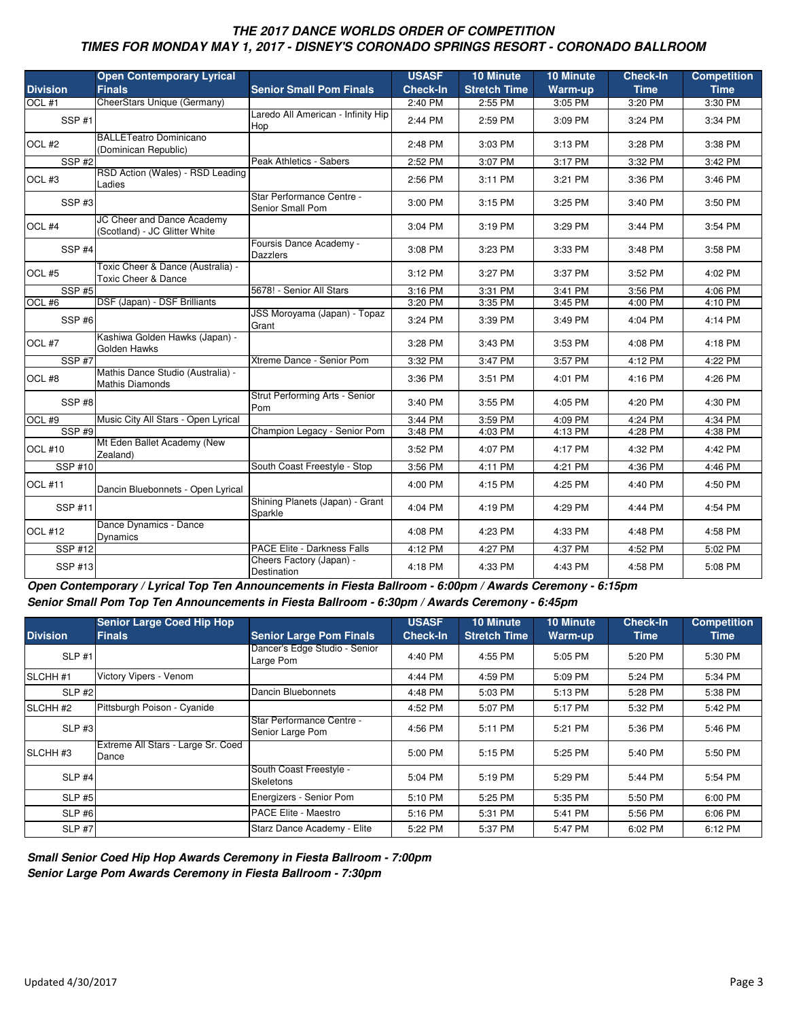|                   | <b>Open Contemporary Lyrical</b>                            |                                               | <b>USASF</b>    | <b>10 Minute</b>    | <b>10 Minute</b> | <b>Check-In</b> | <b>Competition</b> |
|-------------------|-------------------------------------------------------------|-----------------------------------------------|-----------------|---------------------|------------------|-----------------|--------------------|
| <b>Division</b>   | <b>Finals</b>                                               | <b>Senior Small Pom Finals</b>                | <b>Check-In</b> | <b>Stretch Time</b> | Warm-up          | <b>Time</b>     | <b>Time</b>        |
| OCL #1            | CheerStars Unique (Germany)                                 |                                               | 2:40 PM         | 2:55 PM             | 3:05 PM          | 3:20 PM         | 3:30 PM            |
| SSP <sub>#1</sub> |                                                             | Laredo All American - Infinity Hip<br>Hop     | 2:44 PM         | 2:59 PM             | 3:09 PM          | 3:24 PM         | 3:34 PM            |
| OCL #2            | <b>BALLETeatro Dominicano</b><br>(Dominican Republic)       |                                               | 2:48 PM         | 3:03 PM             | 3:13 PM          | 3:28 PM         | 3:38 PM            |
| SSP <sub>#2</sub> |                                                             | Peak Athletics - Sabers                       | 2:52 PM         | 3:07 PM             | 3:17 PM          | 3:32 PM         | 3:42 PM            |
| OCL#3             | RSD Action (Wales) - RSD Leading<br>Ladies                  |                                               | 2:56 PM         | 3:11 PM             | 3:21 PM          | 3:36 PM         | 3:46 PM            |
| SSP#3             |                                                             | Star Performance Centre -<br>Senior Small Pom | 3:00 PM         | 3:15 PM             | 3:25 PM          | 3:40 PM         | 3:50 PM            |
| OCL #4            | JC Cheer and Dance Academy<br>(Scotland) - JC Glitter White |                                               | 3:04 PM         | 3:19 PM             | 3:29 PM          | 3:44 PM         | 3:54 PM            |
| SSP <sub>#4</sub> |                                                             | Foursis Dance Academy -<br><b>Dazzlers</b>    | 3:08 PM         | 3:23 PM             | 3:33 PM          | 3:48 PM         | 3:58 PM            |
| OCL #5            | Toxic Cheer & Dance (Australia) -<br>Toxic Cheer & Dance    |                                               | 3:12 PM         | 3:27 PM             | 3:37 PM          | 3:52 PM         | 4:02 PM            |
| <b>SSP #5</b>     |                                                             | 5678! - Senior All Stars                      | 3:16 PM         | 3:31 PM             | 3:41 PM          | 3:56 PM         | 4:06 PM            |
| OCL#6             | DSF (Japan) - DSF Brilliants                                |                                               | 3:20 PM         | 3:35 PM             | 3:45 PM          | 4:00 PM         | 4:10 PM            |
| SSP#6             |                                                             | JSS Moroyama (Japan) - Topaz<br>Grant         | 3:24 PM         | 3:39 PM             | 3:49 PM          | 4:04 PM         | 4:14 PM            |
| OCL #7            | Kashiwa Golden Hawks (Japan) -<br>Golden Hawks              |                                               | 3:28 PM         | 3:43 PM             | 3:53 PM          | 4:08 PM         | 4:18 PM            |
| <b>SSP #7</b>     |                                                             | Xtreme Dance - Senior Pom                     | 3:32 PM         | 3:47 PM             | 3:57 PM          | 4:12 PM         | 4:22 PM            |
| OCL #8            | Mathis Dance Studio (Australia) -<br><b>Mathis Diamonds</b> |                                               | 3:36 PM         | 3:51 PM             | 4:01 PM          | 4:16 PM         | 4:26 PM            |
| SSP#8             |                                                             | Strut Performing Arts - Senior<br>Pom         | 3:40 PM         | 3:55 PM             | 4:05 PM          | 4:20 PM         | 4:30 PM            |
| OCL#9             | Music City All Stars - Open Lyrical                         |                                               | 3:44 PM         | 3:59 PM             | 4:09 PM          | 4:24 PM         | 4:34 PM            |
| <b>SSP #9</b>     |                                                             | Champion Legacy - Senior Pom                  | 3:48 PM         | 4:03 PM             | 4:13 PM          | 4:28 PM         | 4:38 PM            |
| <b>OCL #10</b>    | Mt Eden Ballet Academy (New<br>Zealand)                     |                                               | 3:52 PM         | 4:07 PM             | 4:17 PM          | 4:32 PM         | 4:42 PM            |
| <b>SSP #10</b>    |                                                             | South Coast Freestyle - Stop                  | 3:56 PM         | 4:11 PM             | 4:21 PM          | 4:36 PM         | 4:46 PM            |
| <b>OCL #11</b>    | Dancin Bluebonnets - Open Lyrical                           |                                               | 4:00 PM         | 4:15 PM             | 4:25 PM          | 4:40 PM         | 4:50 PM            |
| SSP #11           |                                                             | Shining Planets (Japan) - Grant<br>Sparkle    | 4:04 PM         | 4:19 PM             | 4:29 PM          | 4:44 PM         | 4:54 PM            |
| <b>OCL #12</b>    | Dance Dynamics - Dance<br>Dynamics                          |                                               | 4:08 PM         | 4:23 PM             | 4:33 PM          | 4:48 PM         | 4:58 PM            |
| SSP #12           |                                                             | PACE Elite - Darkness Falls                   | 4:12 PM         | 4:27 PM             | 4:37 PM          | 4:52 PM         | 5:02 PM            |
| SSP #13           |                                                             | Cheers Factory (Japan) -<br>Destination       | 4:18 PM         | 4:33 PM             | 4:43 PM          | 4:58 PM         | 5:08 PM            |

**Open Contemporary / Lyrical Top Ten Announcements in Fiesta Ballroom - 6:00pm / Awards Ceremony - 6:15pm Senior Small Pom Top Ten Announcements in Fiesta Ballroom - 6:30pm / Awards Ceremony - 6:45pm**

|                     | <b>Senior Large Coed Hip Hop</b>            |                                                       | <b>USASF</b>    | <b>10 Minute</b>    | <b>10 Minute</b> | <b>Check-In</b> | <b>Competition</b> |
|---------------------|---------------------------------------------|-------------------------------------------------------|-----------------|---------------------|------------------|-----------------|--------------------|
| <b>Division</b>     | <b>Finals</b>                               | <b>Senior Large Pom Finals</b>                        | <b>Check-In</b> | <b>Stretch Time</b> | Warm-up          | Time            | Time               |
| <b>SLP #1</b>       |                                             | Dancer's Edge Studio - Senior<br>Large Pom            | 4:40 PM         | 4:55 PM             | 5:05 PM          | 5:20 PM         | 5:30 PM            |
| <b>SLCHH #1</b>     | Victory Vipers - Venom                      |                                                       | 4:44 PM         | 4:59 PM             | 5:09 PM          | 5:24 PM         | 5:34 PM            |
| <b>SLP #2</b>       |                                             | Dancin Bluebonnets                                    | 4:48 PM         | 5:03 PM             | 5:13 PM          | 5:28 PM         | 5:38 PM            |
| SLCHH <sub>#2</sub> | Pittsburgh Poison - Cyanide                 |                                                       | 4:52 PM         | 5:07 PM             | 5:17 PM          | 5:32 PM         | 5:42 PM            |
| <b>SLP #3</b>       |                                             | <b>IStar Performance Centre -</b><br>Senior Large Pom | 4:56 PM         | 5:11 PM             | 5:21 PM          | 5:36 PM         | 5:46 PM            |
| SLCHH <sub>#3</sub> | Extreme All Stars - Large Sr. Coed<br>Dance |                                                       | 5:00 PM         | 5:15 PM             | 5:25 PM          | 5:40 PM         | 5:50 PM            |
| <b>SLP #4</b>       |                                             | South Coast Freestyle -<br>Skeletons                  | 5:04 PM         | 5:19 PM             | 5:29 PM          | 5:44 PM         | 5:54 PM            |
| $SLP$ #5            |                                             | Energizers - Senior Pom                               | 5:10 PM         | 5:25 PM             | 5:35 PM          | 5:50 PM         | 6:00 PM            |
| <b>SLP #6</b>       |                                             | <b>PACE Elite - Maestro</b>                           | 5:16 PM         | 5:31 PM             | 5:41 PM          | 5:56 PM         | 6:06 PM            |
| <b>SLP #7</b>       |                                             | Starz Dance Academy - Elite                           | 5:22 PM         | 5:37 PM             | 5:47 PM          | 6:02 PM         | 6:12 PM            |

**Small Senior Coed Hip Hop Awards Ceremony in Fiesta Ballroom - 7:00pm Senior Large Pom Awards Ceremony in Fiesta Ballroom - 7:30pm**